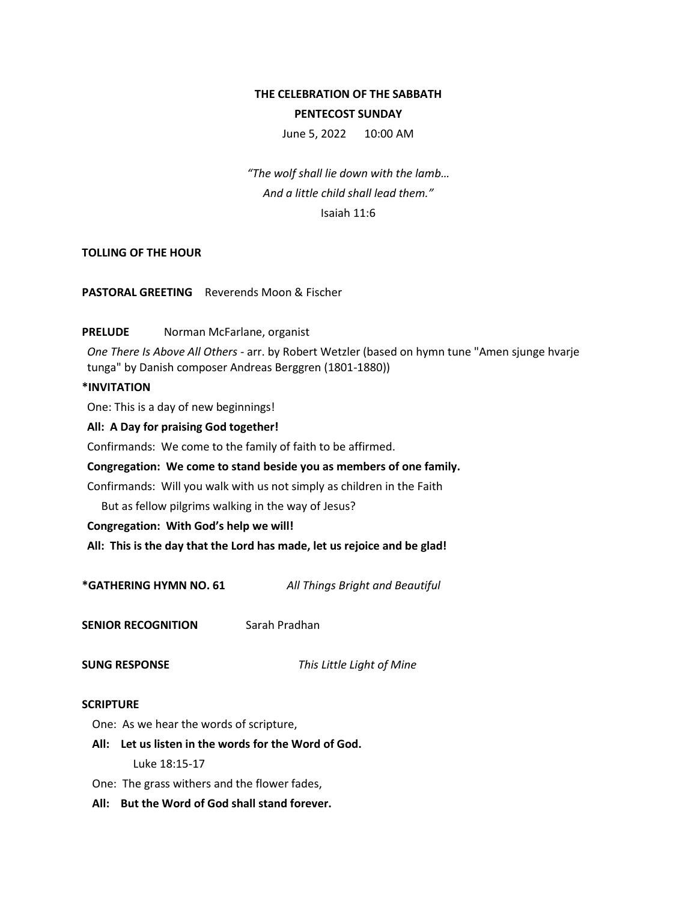# **THE CELEBRATION OF THE SABBATH PENTECOST SUNDAY**

June 5, 2022 10:00 AM

*"The wolf shall lie down with the lamb… And a little child shall lead them."* Isaiah 11:6

## **TOLLING OF THE HOUR**

**PASTORAL GREETING** Reverends Moon & Fischer

## PRELUDE Norman McFarlane, organist

*One There Is Above All Others* - arr. by Robert Wetzler (based on hymn tune "Amen sjunge hvarje tunga" by Danish composer Andreas Berggren (1801-1880))

#### **\*INVITATION**

One: This is a day of new beginnings!

#### **All: A Day for praising God together!**

Confirmands: We come to the family of faith to be affirmed.

## **Congregation: We come to stand beside you as members of one family.**

Confirmands: Will you walk with us not simply as children in the Faith

But as fellow pilgrims walking in the way of Jesus?

**Congregation: With God's help we will!**

**All: This is the day that the Lord has made, let us rejoice and be glad!**

**\*GATHERING HYMN NO. 61** *All Things Bright and Beautiful*

**SENIOR RECOGNITION** Sarah Pradhan

**SUNG RESPONSE** *This Little Light of Mine*

#### **SCRIPTURE**

One: As we hear the words of scripture,

- **All: Let us listen in the words for the Word of God.** Luke 18:15-17
- One: The grass withers and the flower fades,
- **All: But the Word of God shall stand forever.**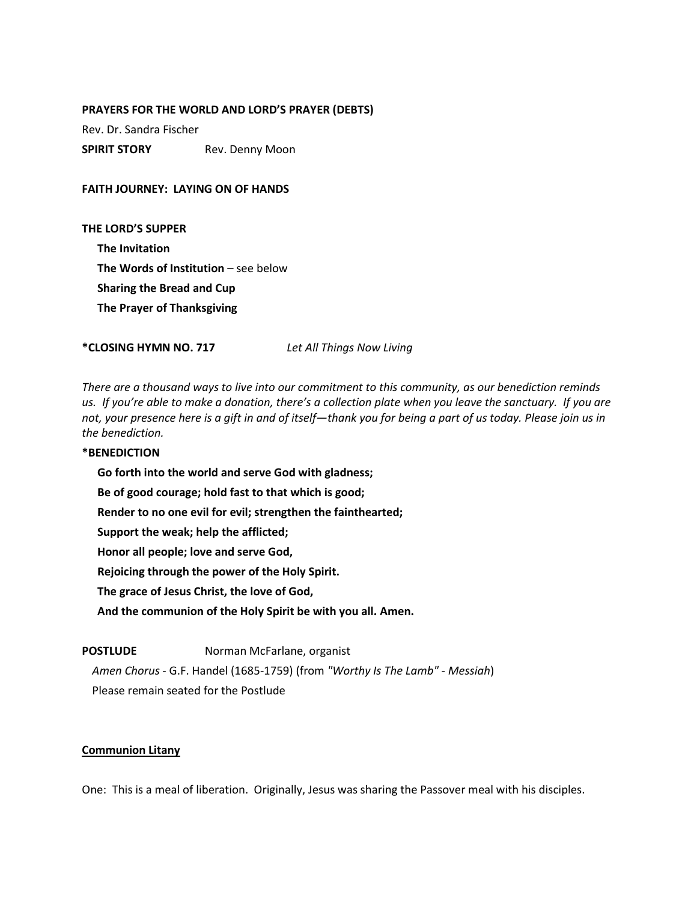#### **PRAYERS FOR THE WORLD AND LORD'S PRAYER (DEBTS)**

Rev. Dr. Sandra Fischer

**SPIRIT STORY** Rev. Denny Moon

**FAITH JOURNEY: LAYING ON OF HANDS**

**THE LORD'S SUPPER The Invitation The Words of Institution – see below Sharing the Bread and Cup The Prayer of Thanksgiving**

**\*CLOSING HYMN NO. 717** *Let All Things Now Living* 

*There are a thousand ways to live into our commitment to this community, as our benediction reminds us. If you're able to make a donation, there's a collection plate when you leave the sanctuary. If you are not, your presence here is a gift in and of itself—thank you for being a part of us today. Please join us in the benediction.*

#### **\*BENEDICTION**

**Go forth into the world and serve God with gladness; Be of good courage; hold fast to that which is good; Render to no one evil for evil; strengthen the fainthearted; Support the weak; help the afflicted; Honor all people; love and serve God, Rejoicing through the power of the Holy Spirit. The grace of Jesus Christ, the love of God, And the communion of the Holy Spirit be with you all. Amen.**

## **POSTLUDE** Norman McFarlane, organist

*Amen Chorus* - G.F. Handel (1685-1759) (from *"Worthy Is The Lamb" - Messiah*) Please remain seated for the Postlude

#### **Communion Litany**

One: This is a meal of liberation. Originally, Jesus was sharing the Passover meal with his disciples.